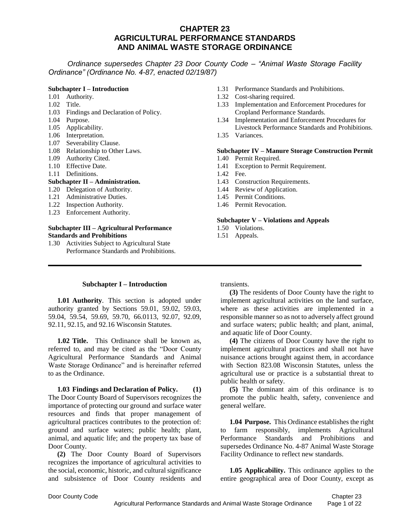*Ordinance supersedes Chapter 23 Door County Code – "Animal Waste Storage Facility Ordinance" (Ordinance No. 4-87, enacted 02/19/87)*

### **Subchapter I – Introduction**

- 1.01 Authority.
- 1.02 Title.
- 1.03 Findings and Declaration of Policy.
- 1.04 Purpose.
- 1.05 Applicability.
- 1.06 Interpretation.
- 1.07 Severability Clause.
- 1.08 Relationship to Other Laws.
- 1.09 Authority Cited.
- 1.10 Effective Date.
- 1.11 Definitions.

#### **Subchapter II – Administration.**

- 1.20 Delegation of Authority.
- 1.21 Administrative Duties.
- 1.22 Inspection Authority.
- 1.23 Enforcement Authority.

#### **Subchapter III – Agricultural Performance Standards and Prohibitions**

1.30 Activities Subject to Agricultural State Performance Standards and Prohibitions.

# **Subchapter I – Introduction**

**1.01 Authority**. This section is adopted under authority granted by Sections 59.01, 59.02, 59.03, 59.04, 59.54, 59.69, 59.70, 66.0113, 92.07, 92.09, 92.11, 92.15, and 92.16 Wisconsin Statutes.

**1.02 Title.** This Ordinance shall be known as, referred to, and may be cited as the "Door County Agricultural Performance Standards and Animal Waste Storage Ordinance" and is hereinafter referred to as the Ordinance.

**1.03 Findings and Declaration of Policy. (1)**  The Door County Board of Supervisors recognizes the importance of protecting our ground and surface water resources and finds that proper management of agricultural practices contributes to the protection of: ground and surface waters; public health; plant, animal, and aquatic life; and the property tax base of Door County.

**(2)** The Door County Board of Supervisors recognizes the importance of agricultural activities to the social, economic, historic, and cultural significance and subsistence of Door County residents and

- 1.31 Performance Standards and Prohibitions.
- 1.32 Cost-sharing required.
- 1.33 Implementation and Enforcement Procedures for Cropland Performance Standards.
- 1.34 Implementation and Enforcement Procedures for Livestock Performance Standards and Prohibitions.
- 1.35 Variances.

#### **Subchapter IV – Manure Storage Construction Permit**

- 1.40 Permit Required.
- 1.41 Exception to Permit Requirement.
- 1.42 Fee.
- 1.43 Construction Requirements.
- 1.44 Review of Application.
- 1.45 Permit Conditions.
- 1.46 Permit Revocation.

#### **Subchapter V – Violations and Appeals**

- 1.50 Violations.
- 1.51 Appeals.

transients.

**(3)** The residents of Door County have the right to implement agricultural activities on the land surface, where as these activities are implemented in a responsible manner so as not to adversely affect ground and surface waters; public health; and plant, animal, and aquatic life of Door County.

**(4)** The citizens of Door County have the right to implement agricultural practices and shall not have nuisance actions brought against them, in accordance with Section 823.08 Wisconsin Statutes, unless the agricultural use or practice is a substantial threat to public health or safety.

**(5)** The dominant aim of this ordinance is to promote the public health, safety, convenience and general welfare.

**1.04 Purpose.** This Ordinance establishes the right to farm responsibly, implements Agricultural Performance Standards and Prohibitions and supersedes Ordinance No. 4-87 Animal Waste Storage Facility Ordinance to reflect new standards.

**1.05 Applicability.** This ordinance applies to the entire geographical area of Door County, except as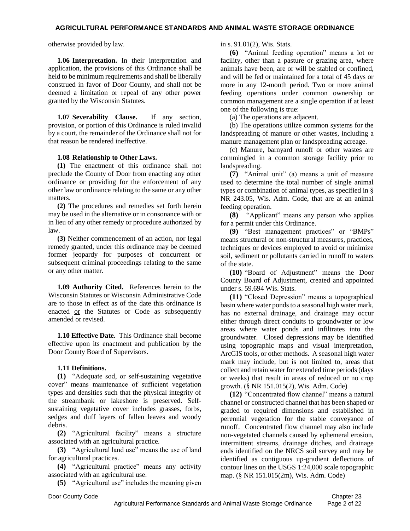otherwise provided by law.

**1.06 Interpretation.** In their interpretation and application, the provisions of this Ordinance shall be held to be minimum requirements and shall be liberally construed in favor of Door County, and shall not be deemed a limitation or repeal of any other power granted by the Wisconsin Statutes.

**1.07 Severability Clause.** If any section, provision, or portion of this Ordinance is ruled invalid by a court, the remainder of the Ordinance shall not for that reason be rendered ineffective.

### **1.08 Relationship to Other Laws.**

**(1)** The enactment of this ordinance shall not preclude the County of Door from enacting any other ordinance or providing for the enforcement of any other law or ordinance relating to the same or any other matters.

**(2)** The procedures and remedies set forth herein may be used in the alternative or in consonance with or in lieu of any other remedy or procedure authorized by law.

**(3)** Neither commencement of an action, nor legal remedy granted, under this ordinance may be deemed former jeopardy for purposes of concurrent or subsequent criminal proceedings relating to the same or any other matter.

**1.09 Authority Cited.** References herein to the Wisconsin Statutes or Wisconsin Administrative Code are to those in effect as of the date this ordinance is enacted or the Statutes or Code as subsequently amended or revised.

**1.10 Effective Date.** This Ordinance shall become effective upon its enactment and publication by the Door County Board of Supervisors.

### **1.11 Definitions.**

**(1)** "Adequate sod, or self-sustaining vegetative cover" means maintenance of sufficient vegetation types and densities such that the physical integrity of the streambank or lakeshore is preserved. Selfsustaining vegetative cover includes grasses, forbs, sedges and duff layers of fallen leaves and woody debris.

**(2)** "Agricultural facility" means a structure associated with an agricultural practice.

**(3)** "Agricultural land use" means the use of land for agricultural practices.

**(4)** "Agricultural practice" means any activity associated with an agricultural use.

**(5)** "Agricultural use" includes the meaning given

in s. 91.01(2), Wis. Stats.

**(6)** "Animal feeding operation" means a lot or facility, other than a pasture or grazing area, where animals have been, are or will be stabled or confined, and will be fed or maintained for a total of 45 days or more in any 12-month period. Two or more animal feeding operations under common ownership or common management are a single operation if at least one of the following is true:

(a) The operations are adjacent.

(b) The operations utilize common systems for the landspreading of manure or other wastes, including a manure management plan or landspreading acreage.

(c) Manure, barnyard runoff or other wastes are commingled in a common storage facility prior to landspreading.

**(7)** "Animal unit" (a) means a unit of measure used to determine the total number of single animal types or combination of animal types, as specified in § NR 243.05, Wis. Adm. Code, that are at an animal feeding operation.

**(8)** "Applicant" means any person who applies for a permit under this Ordinance.

**(9)** "Best management practices" or "BMPs" means structural or non-structural measures, practices, techniques or devices employed to avoid or minimize soil, sediment or pollutants carried in runoff to waters of the state.

**(10)** "Board of Adjustment" means the Door County Board of Adjustment, created and appointed under s. 59.694 Wis. Stats.

**(11)** "Closed Depression" means a topographical basin where water ponds to a seasonal high water mark, has no external drainage, and drainage may occur either through direct conduits to groundwater or low areas where water ponds and infiltrates into the groundwater. Closed depressions may be identified using topographic maps and visual interpretation, ArcGIS tools, or other methods. A seasonal high water mark may include, but is not limited to, areas that collect and retain water for extended time periods (days or weeks) that result in areas of reduced or no crop growth. (§ NR 151.015(2), Wis. Adm. Code)

**(12)** "Concentrated flow channel" means a natural channel or constructed channel that has been shaped or graded to required dimensions and established in perennial vegetation for the stable conveyance of runoff. Concentrated flow channel may also include non-vegetated channels caused by ephemeral erosion, intermittent streams, drainage ditches, and drainage ends identified on the NRCS soil survey and may be identified as contiguous up-gradient deflections of contour lines on the USGS 1:24,000 scale topographic map. (§ NR 151.015(2m), Wis. Adm. Code)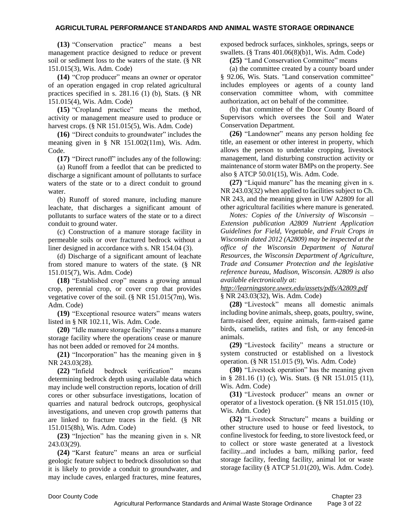**(13)** "Conservation practice" means a best management practice designed to reduce or prevent soil or sediment loss to the waters of the state. (§ NR 151.015(3), Wis. Adm. Code)

**(14)** "Crop producer" means an owner or operator of an operation engaged in crop related agricultural practices specified in s. 281.16 (1) (b), Stats. (§ NR 151.015(4), Wis. Adm. Code)

**(15)** "Cropland practice" means the method, activity or management measure used to produce or harvest crops. (§ NR 151.015(5), Wis. Adm. Code)

**(16)** "Direct conduits to groundwater" includes the meaning given in § NR 151.002(11m), Wis. Adm. Code.

**(17)** "Direct runoff" includes any of the following:

(a) Runoff from a feedlot that can be predicted to discharge a significant amount of pollutants to surface waters of the state or to a direct conduit to ground water.

(b) Runoff of stored manure, including manure leachate, that discharges a significant amount of pollutants to surface waters of the state or to a direct conduit to ground water.

(c) Construction of a manure storage facility in permeable soils or over fractured bedrock without a liner designed in accordance with s. NR 154.04 (3).

(d) Discharge of a significant amount of leachate from stored manure to waters of the state. (§ NR 151.015(7), Wis. Adm. Code)

**(18)** "Established crop" means a growing annual crop, perennial crop, or cover crop that provides vegetative cover of the soil. (§ NR 151.015(7m), Wis. Adm. Code)

**(19)** "Exceptional resource waters" means waters listed in § NR 102.11, Wis. Adm. Code.

**(20)** "Idle manure storage facility" means a manure storage facility where the operations cease or manure has not been added or removed for 24 months.

**(21)** "Incorporation" has the meaning given in § NR 243.03(28).

**(22)** "Infield bedrock verification" means determining bedrock depth using available data which may include well construction reports, location of drill cores or other subsurface investigations, location of quarries and natural bedrock outcrops, geophysical investigations, and uneven crop growth patterns that are linked to fracture traces in the field. (§ NR 151.015(8h), Wis. Adm. Code)

**(23)** "Injection" has the meaning given in s. NR 243.03(29).

**(24)** "Karst feature" means an area or surficial geologic feature subject to bedrock dissolution so that it is likely to provide a conduit to groundwater, and may include caves, enlarged fractures, mine features, exposed bedrock surfaces, sinkholes, springs, seeps or swallets. (§ Trans 401.06(8)(b)1, Wis. Adm. Code)

**(25)** "Land Conservation Committee" means

(a) the committee created by a county board under § 92.06, Wis. Stats. "Land conservation committee" includes employees or agents of a county land conservation committee whom, with committee authorization, act on behalf of the committee.

(b) that committee of the Door County Board of Supervisors which oversees the Soil and Water Conservation Department.

**(26)** "Landowner" means any person holding fee title, an easement or other interest in property, which allows the person to undertake cropping, livestock management, land disturbing construction activity or maintenance of storm water BMPs on the property. See also § ATCP 50.01(15), Wis. Adm. Code.

**(27)** "Liquid manure" has the meaning given in s. NR 243.03(32) when applied to facilities subject to Ch. NR 243, and the meaning given in UW A2809 for all other agricultural facilities where manure is generated.

*Notes: Copies of the University of Wisconsin – Extension publication A2809 Nutrient Application Guidelines for Field, Vegetable, and Fruit Crops in Wisconsin dated 2012 (A2809) may be inspected at the office of the Wisconsin Department of Natural Resources, the Wisconsin Department of Agriculture, Trade and Consumer Protection and the legislative reference bureau, Madison, Wisconsin. A2809 is also available electronically at:*

*<http://learningstore.uwex.edu/assets/pdfs/A2809.pdf>* § NR 243.03(32), Wis. Adm. Code)

**(28)** "Livestock" means all domestic animals including bovine animals, sheep, goats, poultry, swine, farm-raised deer, equine animals, farm-raised game birds, camelids, ratites and fish, or any fenced-in animals.

**(29)** "Livestock facility" means a structure or system constructed or established on a livestock operation. (§ NR 151.015 (9), Wis. Adm. Code)

**(30)** "Livestock operation" has the meaning given in § 281.16 (1) (c), Wis. Stats. (§ NR 151.015 (11), Wis. Adm. Code)

**(31)** "Livestock producer" means an owner or operator of a livestock operation. (§ NR 151.015 (10), Wis. Adm. Code)

**(32)** "Livestock Structure" means a building or other structure used to house or feed livestock, to confine livestock for feeding, to store livestock feed, or to collect or store waste generated at a livestock facility...and includes a barn, milking parlor, feed storage facility, feeding facility, animal lot or waste storage facility (§ ATCP 51.01(20), Wis. Adm. Code).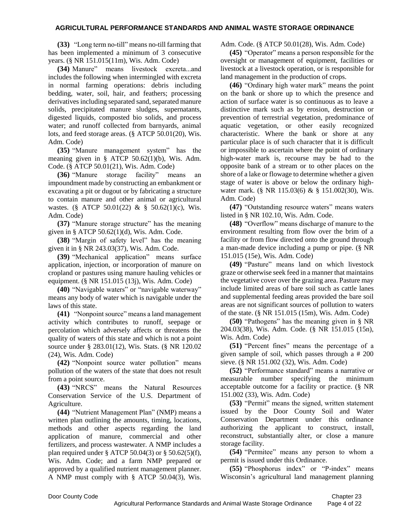**(33)** "Long term no-till" means no-till farming that has been implemented a minimum of 3 consecutive years. (§ NR 151.015(11m), Wis. Adm. Code)

**(34)** Manure" means livestock excreta...and includes the following when intermingled with excreta in normal farming operations: debris including bedding, water, soil, hair, and feathers; processing derivatives including separated sand, separated manure solids, precipitated manure sludges, supernatants, digested liquids, composted bio solids, and process water; and runoff collected from barnyards, animal lots, and feed storage areas. (§ ATCP 50.01(20), Wis. Adm. Code)

**(35)** "Manure management system" has the meaning given in § ATCP 50.62(1)(b), Wis. Adm. Code. (§ ATCP 50.01(21), Wis. Adm. Code)

**(36)** "Manure storage facility" means an impoundment made by constructing an embankment or excavating a pit or dugout or by fabricating a structure to contain manure and other animal or agricultural wastes. (§ ATCP 50.01(22) & § 50.62(1)(c), Wis. Adm. Code)

**(37)** "Manure storage structure" has the meaning given in § ATCP 50.62(1)(d), Wis. Adm. Code.

**(38)** "Margin of safety level" has the meaning given it in § NR 243.03(37), Wis. Adm. Code.

**(39)** "Mechanical application" means surface application, injection, or incorporation of manure on cropland or pastures using manure hauling vehicles or equipment. (§ NR 151.015 (13j), Wis. Adm. Code)

**(40)** "Navigable waters" or "navigable waterway" means any body of water which is navigable under the laws of this state.

**(41)** "Nonpoint source" means a land management activity which contributes to runoff, seepage or percolation which adversely affects or threatens the quality of waters of this state and which is not a point source under § 283.01(12), Wis. Stats. (§ NR 120.02 (24), Wis. Adm. Code)

**(42)** "Nonpoint source water pollution" means pollution of the waters of the state that does not result from a point source.

**(43)** "NRCS" means the Natural Resources Conservation Service of the U.S. Department of Agriculture.

**(44)** "Nutrient Management Plan" (NMP) means a written plan outlining the amounts, timing, locations, methods and other aspects regarding the land application of manure, commercial and other fertilizers, and process wastewater. A NMP includes a plan required under § ATCP 50.04(3) or § 50.62(5)(f), Wis. Adm. Code; and a farm NMP prepared or approved by a qualified nutrient management planner. A NMP must comply with § ATCP 50.04(3), Wis. Adm. Code. (§ ATCP 50.01(28), Wis. Adm. Code)

**(45)** "Operator" means a person responsible for the oversight or management of equipment, facilities or livestock at a livestock operation, or is responsible for land management in the production of crops.

**(46)** "Ordinary high water mark" means the point on the bank or shore up to which the presence and action of surface water is so continuous as to leave a distinctive mark such as by erosion, destruction or prevention of terrestrial vegetation, predominance of aquatic vegetation, or other easily recognized characteristic. Where the bank or shore at any particular place is of such character that it is difficult or impossible to ascertain where the point of ordinary high-water mark is, recourse may be had to the opposite bank of a stream or to other places on the shore of a lake or flowage to determine whether a given stage of water is above or below the ordinary highwater mark. (§ NR 115.03(6) & § 151.002(30), Wis. Adm. Code)

**(47)** "Outstanding resource waters" means waters listed in § NR 102.10, Wis. Adm. Code.

**(48)** "Overflow" means discharge of manure to the environment resulting from flow over the brim of a facility or from flow directed onto the ground through a man-made device including a pump or pipe. (§ NR 151.015 (15e), Wis. Adm. Code)

**(49)** "Pasture" means land on which livestock graze or otherwise seek feed in a manner that maintains the vegetative cover over the grazing area. Pasture may include limited areas of bare soil such as cattle lanes and supplemental feeding areas provided the bare soil areas are not significant sources of pollution to waters of the state. (§ NR 151.015 (15m), Wis. Adm. Code)

**(50)** "Pathogens" has the meaning given in § NR 204.03(38), Wis. Adm. Code. (§ NR 151.015 (15n), Wis. Adm. Code)

**(51)** "Percent fines" means the percentage of a given sample of soil, which passes through a # 200 sieve. (§ NR 151.002 (32), Wis. Adm. Code)

**(52)** "Performance standard" means a narrative or measurable number specifying the minimum acceptable outcome for a facility or practice. (§ NR 151.002 (33), Wis. Adm. Code)

**(53)** "Permit" means the signed, written statement issued by the Door County Soil and Water Conservation Department under this ordinance authorizing the applicant to construct, install, reconstruct, substantially alter, or close a manure storage facility.

**(54)** "Permitee" means any person to whom a permit is issued under this Ordinance.

**(55)** "Phosphorus index" or "P-index" means Wisconsin's agricultural land management planning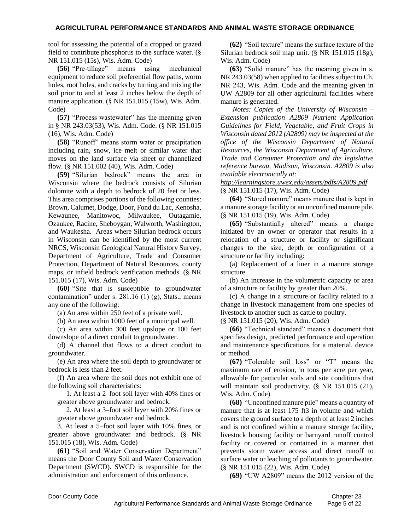tool for assessing the potential of a cropped or grazed field to contribute phosphorus to the surface water. (§ NR 151.015 (15s), Wis. Adm. Code)

**(56)** "Pre-tillage" means using mechanical equipment to reduce soil preferential flow paths, worm holes, root holes, and cracks by turning and mixing the soil prior to and at least 2 inches below the depth of manure application. (§ NR 151.015 (15w), Wis. Adm. Code)

**(57)** "Process wastewater" has the meaning given in § NR 243.03(53), Wis. Adm. Code. (§ NR 151.015 (16), Wis. Adm. Code)

**(58)** "Runoff" means storm water or precipitation including rain, snow, ice melt or similar water that moves on the land surface via sheet or channelized flow. (§ NR 151.002 (40), Wis. Adm. Code)

**(59)** "Silurian bedrock" means the area in Wisconsin where the bedrock consists of Silurian dolomite with a depth to bedrock of 20 feet or less. This area comprises portions of the following counties: Brown, Calumet, Dodge, Door, Fond du Lac, Kenosha, Kewaunee, Manitowoc, Milwaukee, Outagamie, Ozaukee, Racine, Sheboygan, Walworth, Washington, and Waukesha. Areas where Silurian bedrock occurs in Wisconsin can be identified by the most current NRCS, Wisconsin Geological Natural History Survey, Department of Agriculture, Trade and Consumer Protection, Department of Natural Resources, county maps, or infield bedrock verification methods. (§ NR 151.015 (17), Wis. Adm. Code)

**(60)** "Site that is susceptible to groundwater contamination" under s.  $281.16$  (1) (g), Stats., means any one of the following:

(a) An area within 250 feet of a private well.

(b) An area within 1000 feet of a municipal well.

(c) An area within 300 feet upslope or 100 feet downslope of a direct conduit to groundwater.

(d) A channel that flows to a direct conduit to groundwater.

(e) An area where the soil depth to groundwater or bedrock is less than 2 feet.

(f) An area where the soil does not exhibit one of the following soil characteristics:

1. At least a 2–foot soil layer with 40% fines or greater above groundwater and bedrock.

2. At least a 3–foot soil layer with 20% fines or greater above groundwater and bedrock.

3. At least a 5–foot soil layer with 10% fines, or greater above groundwater and bedrock. (§ NR 151.015 (18), Wis. Adm. Code)

**(61)** "Soil and Water Conservation Department" means the Door County Soil and Water Conservation Department (SWCD). SWCD is responsible for the administration and enforcement of this ordinance.

**(62)** "Soil texture" means the surface texture of the Silurian bedrock soil map unit. (§ NR 151.015 (18g), Wis. Adm. Code)

**(63)** "Solid manure" has the meaning given in s. NR 243.03(58) when applied to facilities subject to Ch. NR 243, Wis. Adm. Code and the meaning given in UW A2809 for all other agricultural facilities where manure is generated.

*Notes: Copies of the University of Wisconsin – Extension publication A2809 Nutrient Application Guidelines for Field, Vegetable, and Fruit Crops in Wisconsin dated 2012 (A2809) may be inspected at the office of the Wisconsin Department of Natural Resources, the Wisconsin Department of Agriculture, Trade and Consumer Protection and the legislative reference bureau, Madison, Wisconsin. A2809 is also available electronically at:*

*<http://learningstore.uwex.edu/assets/pdfs/A2809.pdf>* (§ NR 151.015 (17), Wis. Adm. Code)

**(64)** "Stored manure" means manure that is kept in a manure storage facility or an unconfined manure pile. (§ NR 151.015 (19), Wis. Adm. Code)

**(65)** "Substantially altered" means a change initiated by an owner or operator that results in a relocation of a structure or facility or significant changes to the size, depth or configuration of a structure or facility including:

(a) Replacement of a liner in a manure storage structure.

(b) An increase in the volumetric capacity or area of a structure or facility by greater than 20%.

(c) A change in a structure or facility related to a change in livestock management from one species of livestock to another such as cattle to poultry.

(§ NR 151.015 (20), Wis. Adm. Code)

**(66)** "Technical standard" means a document that specifies design, predicted performance and operation and maintenance specifications for a material, device or method.

**(67)** "Tolerable soil loss" or "T" means the maximum rate of erosion, in tons per acre per year, allowable for particular soils and site conditions that will maintain soil productivity. (§ NR 151.015 (21), Wis. Adm. Code)

**(68)** "Unconfined manure pile" means a quantity of manure that is at least 175 ft3 in volume and which covers the ground surface to a depth of at least 2 inches and is not confined within a manure storage facility, livestock housing facility or barnyard runoff control facility or covered or contained in a manner that prevents storm water access and direct runoff to surface water or leaching of pollutants to groundwater. (§ NR 151.015 (22), Wis. Adm. Code)

**(69)** "UW A2809" means the 2012 version of the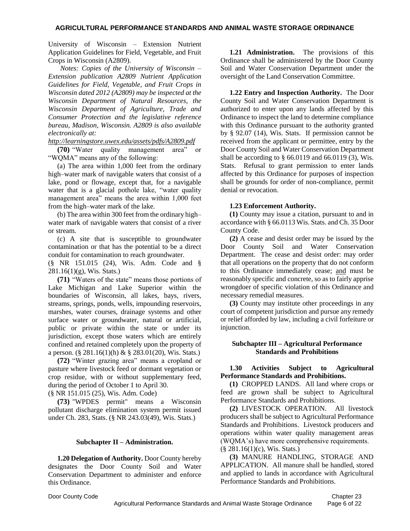University of Wisconsin – Extension Nutrient Application Guidelines for Field, Vegetable, and Fruit Crops in Wisconsin (A2809).

*Notes: Copies of the University of Wisconsin – Extension publication A2809 Nutrient Application Guidelines for Field, Vegetable, and Fruit Crops in Wisconsin dated 2012 (A2809) may be inspected at the Wisconsin Department of Natural Resources, the Wisconsin Department of Agriculture, Trade and Consumer Protection and the legislative reference bureau, Madison, Wisconsin. A2809 is also available electronically at:*

*<http://learningstore.uwex.edu/assets/pdfs/A2809.pdf>*

**(70)** "Water quality management area" or "WQMA" means any of the following:

(a) The area within 1,000 feet from the ordinary high–water mark of navigable waters that consist of a lake, pond or flowage, except that, for a navigable water that is a glacial pothole lake, "water quality management area" means the area within 1,000 feet from the high–water mark of the lake.

(b) The area within 300 feet from the ordinary high– water mark of navigable waters that consist of a river or stream.

(c) A site that is susceptible to groundwater contamination or that has the potential to be a direct conduit for contamination to reach groundwater.

(§ NR 151.015 (24), Wis. Adm. Code and §  $281.16(1)(g)$ , Wis. Stats.)

**(71)** "Waters of the state" means those portions of Lake Michigan and Lake Superior within the boundaries of Wisconsin, all lakes, bays, rivers, streams, springs, ponds, wells, impounding reservoirs, marshes, water courses, drainage systems and other surface water or groundwater, natural or artificial, public or private within the state or under its jurisdiction, except those waters which are entirely confined and retained completely upon the property of a person. (§ 281.16(1)(h) & § 283.01(20), Wis. Stats.)

**(72)** "Winter grazing area" means a cropland or pasture where livestock feed or dormant vegetation or crop residue, with or without supplementary feed, during the period of October 1 to April 30.

(§ NR 151.015 (25), Wis. Adm. Code)

**(73)** "WPDES permit" means a Wisconsin pollutant discharge elimination system permit issued under Ch. 283, Stats. (§ NR 243.03(49), Wis. Stats.)

### **Subchapter II – Administration.**

**1.20 Delegation of Authority.** Door County hereby designates the Door County Soil and Water Conservation Department to administer and enforce this Ordinance.

**1.21 Administration.** The provisions of this Ordinance shall be administered by the Door County Soil and Water Conservation Department under the oversight of the Land Conservation Committee.

**1.22 Entry and Inspection Authority.** The Door County Soil and Water Conservation Department is authorized to enter upon any lands affected by this Ordinance to inspect the land to determine compliance with this Ordinance pursuant to the authority granted by § 92.07 (14), Wis. Stats. If permission cannot be received from the applicant or permittee, entry by the Door County Soil and Water Conservation Department shall be according to  $\S$  66.0119 and 66.0119 (3), Wis. Stats. Refusal to grant permission to enter lands affected by this Ordinance for purposes of inspection shall be grounds for order of non-compliance, permit denial or revocation.

### **1.23 Enforcement Authority.**

**(1)** County may issue a citation, pursuant to and in accordance with § 66.0113 Wis. Stats. and Ch. 35 Door County Code.

**(2)** A cease and desist order may be issued by the Door County Soil and Water Conservation Department. The cease and desist order: may order that all operations on the property that do not conform to this Ordinance immediately cease; and must be reasonably specific and concrete, so as to fairly apprise wrongdoer of specific violation of this Ordinance and necessary remedial measures.

**(3)** County may institute other proceedings in any court of competent jurisdiction and pursue any remedy or relief afforded by law, including a civil forfeiture or injunction.

### **Subchapter III – Agricultural Performance Standards and Prohibitions**

## **1.30 Activities Subject to Agricultural Performance Standards and Prohibitions.**

**(1)** CROPPED LANDS. All land where crops or feed are grown shall be subject to Agricultural Performance Standards and Prohibitions.

**(2)** LIVESTOCK OPERATION.All livestock producers shall be subject to Agricultural Performance Standards and Prohibitions. Livestock producers and operations within water quality management areas (WQMA's) have more comprehensive requirements. (§ 281.16(1)(c), Wis. Stats.)

**(3)** MANURE HANDLING, STORAGE AND APPLICATION.All manure shall be handled, stored and applied to lands in accordance with Agricultural Performance Standards and Prohibitions.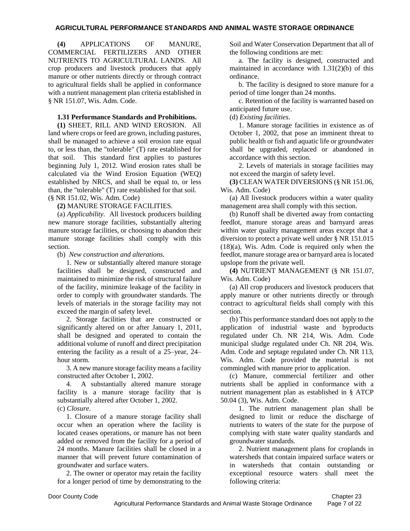**(4)** APPLICATIONS OF MANURE, COMMERCIAL FERTILIZERS AND OTHER NUTRIENTS TO AGRICULTURAL LANDS. All crop producers and livestock producers that apply manure or other nutrients directly or through contract to agricultural fields shall be applied in conformance with a nutrient management plan criteria established in § NR 151.07, Wis. Adm. Code.

## **1.31 Performance Standards and Prohibitions.**

**(1)** SHEET, RILL AND WIND EROSION. All land where crops or feed are grown, including pastures, shall be managed to achieve a soil erosion rate equal to, or less than, the "tolerable" (T) rate established for that soil. This standard first applies to pastures beginning July 1, 2012. Wind erosion rates shall be calculated via the Wind Erosion Equation (WEQ) established by NRCS, and shall be equal to, or less than, the "tolerable" (T) rate established for that soil. (§ NR 151.02, Wis. Adm. Code)

**(2)** MANURE STORAGE FACILITIES.

(a) *Applicability.* All livestock producers building new manure storage facilities, substantially altering manure storage facilities, or choosing to abandon their manure storage facilities shall comply with this section.

(b)*New construction and alterations.*

1. New or substantially altered manure storage facilities shall be designed, constructed and maintained to minimize the risk of structural failure of the facility, minimize leakage of the facility in order to comply with groundwater standards. The levels of materials in the storage facility may not exceed the margin of safety level.

2. Storage facilities that are constructed or significantly altered on or after January 1, 2011, shall be designed and operated to contain the additional volume of runoff and direct precipitation entering the facility as a result of a 25–year, 24– hour storm.

3. A new manure storage facility means a facility constructed after October 1, 2002.

4. A substantially altered manure storage facility is a manure storage facility that is substantially altered after October 1, 2002.

(c) *Closure.*

1. Closure of a manure storage facility shall occur when an operation where the facility is located ceases operations, or manure has not been added or removed from the facility for a period of 24 months. Manure facilities shall be closed in a manner that will prevent future contamination of groundwater and surface waters.

2. The owner or operator may retain the facility for a longer period of time by demonstrating to the Soil and Water Conservation Department that all of the following conditions are met:

a. The facility is designed, constructed and maintained in accordance with 1.31(2)(b) of this ordinance.

b. The facility is designed to store manure for a period of time longer than 24 months.

c. Retention of the facility is warranted based on anticipated future use.

(d) *Existing facilities*.

1. Manure storage facilities in existence as of October 1, 2002, that pose an imminent threat to public health or fish and aquatic life or groundwater shall be upgraded, replaced or abandoned in accordance with this section.

2. Levels of materials in storage facilities may not exceed the margin of safety level.

**(3)** CLEAN WATER DIVERSIONS (§ NR 151.06, Wis. Adm. Code)

(a) All livestock producers within a water quality management area shall comply with this section.

(b) Runoff shall be diverted away from contacting feedlot, manure storage areas and barnyard areas within water quality management areas except that a diversion to protect a private well under § NR 151.015 (18)(a), Wis. Adm. Code is required only when the feedlot, manure storage area or barnyard area is located upslope from the private well.

**(4)** NUTRIENT MANAGEMENT (§ NR 151.07, Wis. Adm. Code)

(a) All crop producers and livestock producers that apply manure or other nutrients directly or through contract to agricultural fields shall comply with this section.

(b) This performance standard does not apply to the application of industrial waste and byproducts regulated under Ch. NR 214, Wis. Adm. Code municipal sludge regulated under Ch. NR 204, Wis. Adm. Code and septage regulated under Ch. NR 113, Wis. Adm. Code provided the material is not commingled with manure prior to application.

(c) Manure, commercial fertilizer and other nutrients shall be applied in conformance with a nutrient management plan as established in § ATCP 50.04 (3), Wis. Adm. Code.

1. The nutrient management plan shall be designed to limit or reduce the discharge of nutrients to waters of the state for the purpose of complying with state water quality standards and groundwater standards.

2. Nutrient management plans for croplands in watersheds that contain impaired surface waters or in watersheds that contain outstanding or exceptional resource waters shall meet the following criteria: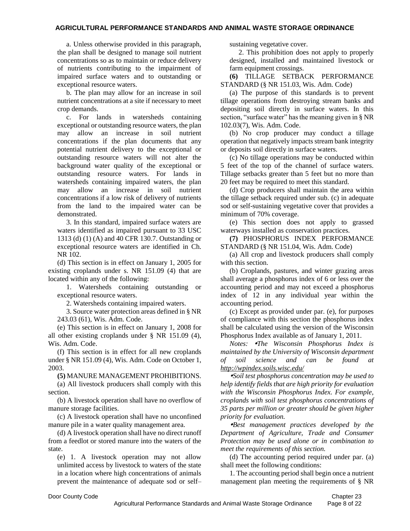a. Unless otherwise provided in this paragraph, the plan shall be designed to manage soil nutrient concentrations so as to maintain or reduce delivery of nutrients contributing to the impairment of impaired surface waters and to outstanding or exceptional resource waters.

b. The plan may allow for an increase in soil nutrient concentrations at a site if necessary to meet crop demands.

c. For lands in watersheds containing exceptional or outstanding resource waters, the plan may allow an increase in soil nutrient concentrations if the plan documents that any potential nutrient delivery to the exceptional or outstanding resource waters will not alter the background water quality of the exceptional or outstanding resource waters. For lands in watersheds containing impaired waters, the plan may allow an increase in soil nutrient concentrations if a low risk of delivery of nutrients from the land to the impaired water can be demonstrated.

3. In this standard, impaired surface waters are waters identified as impaired pursuant to 33 USC 1313 (d) (1) (A) and 40 CFR 130.7. Outstanding or exceptional resource waters are identified in Ch. NR 102.

(d) This section is in effect on January 1, 2005 for existing croplands under s. NR 151.09 (4) that are located within any of the following:

1. Watersheds containing outstanding or exceptional resource waters.

2. Watersheds containing impaired waters.

3. Source water protection areas defined in § NR 243.03 (61), Wis. Adm. Code.

(e) This section is in effect on January 1, 2008 for all other existing croplands under § NR 151.09 (4), Wis. Adm. Code.

(f) This section is in effect for all new croplands under § NR 151.09 (4), Wis. Adm. Code on October 1, 2003.

**(5)** MANURE MANAGEMENT PROHIBITIONS.

(a) All livestock producers shall comply with this section.

(b) A livestock operation shall have no overflow of manure storage facilities.

(c) A livestock operation shall have no unconfined manure pile in a water quality management area.

(d) A livestock operation shall have no direct runoff from a feedlot or stored manure into the waters of the state.

(e) 1. A livestock operation may not allow unlimited access by livestock to waters of the state in a location where high concentrations of animals prevent the maintenance of adequate sod or self– sustaining vegetative cover.

2. This prohibition does not apply to properly designed, installed and maintained livestock or farm equipment crossings.

**(6)** TILLAGE SETBACK PERFORMANCE STANDARD (§ NR 151.03, Wis. Adm. Code)

(a) The purpose of this standards is to prevent tillage operations from destroying stream banks and depositing soil directly in surface waters. In this section, "surface water" has the meaning given in § NR 102.03(7), Wis. Adm. Code.

(b) No crop producer may conduct a tillage operation that negatively impacts stream bank integrity or deposits soil directly in surface waters.

(c) No tillage operations may be conducted within 5 feet of the top of the channel of surface waters. Tillage setbacks greater than 5 feet but no more than 20 feet may be required to meet this standard.

(d) Crop producers shall maintain the area within the tillage setback required under sub. (c) in adequate sod or self-sustaining vegetative cover that provides a minimum of 70% coverage.

(e) This section does not apply to grassed waterways installed as conservation practices.

**(7)** PHOSPHORUS INDEX PERFORMANCE STANDARD (§ NR 151.04, Wis. Adm. Code)

(a) All crop and livestock producers shall comply with this section.

(b) Croplands, pastures, and winter grazing areas shall average a phosphorus index of 6 or less over the accounting period and may not exceed a phosphorus index of 12 in any individual year within the accounting period.

(c) Except as provided under par. (e), for purposes of compliance with this section the phosphorus index shall be calculated using the version of the Wisconsin Phosphorus Index available as of January 1, 2011.

*Notes: The Wisconsin Phosphorus Index is maintained by the University of Wisconsin department of soil science and can be found at <http://wpindex.soils.wisc.edu/>*

*Soil test phosphorus concentration may be used to help identify fields that are high priority for evaluation with the Wisconsin Phosphorus Index. For example, croplands with soil test phosphorus concentrations of 35 parts per million or greater should be given higher priority for evaluation.*

*Best management practices developed by the Department of Agriculture, Trade and Consumer Protection may be used alone or in combination to meet the requirements of this section.*

(d) The accounting period required under par. (a) shall meet the following conditions:

1. The accounting period shall begin once a nutrient management plan meeting the requirements of § NR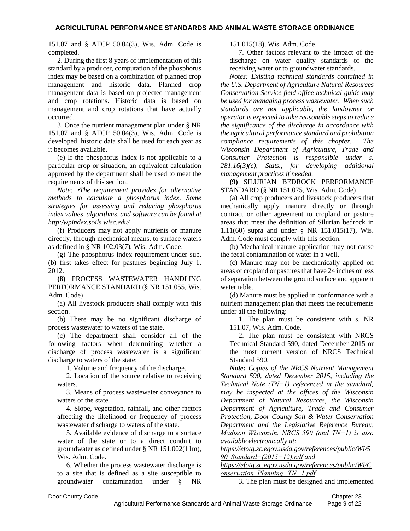151.07 and § ATCP 50.04(3), Wis. Adm. Code is completed.

2. During the first 8 years of implementation of this standard by a producer, computation of the phosphorus index may be based on a combination of planned crop management and historic data. Planned crop management data is based on projected management and crop rotations. Historic data is based on management and crop rotations that have actually occurred.

3. Once the nutrient management plan under § NR 151.07 and § ATCP 50.04(3), Wis. Adm. Code is developed, historic data shall be used for each year as it becomes available.

(e) If the phosphorus index is not applicable to a particular crop or situation, an equivalent calculation approved by the department shall be used to meet the requirements of this section.

*Note: The requirement provides for alternative methods to calculate a phosphorus index. Some strategies for assessing and reducing phosphorus index values, algorithms, and software can be found at http:/wpindex.soils.wisc.edu/*

(f) Producers may not apply nutrients or manure directly, through mechanical means, to surface waters as defined in § NR 102.03(7), Wis. Adm. Code.

(g) The phosphorus index requirement under sub. (b) first takes effect for pastures beginning July 1, 2012.

**(8)** PROCESS WASTEWATER HANDLING PERFORMANCE STANDARD (§ NR 151.055, Wis. Adm. Code)

(a) All livestock producers shall comply with this section.

(b) There may be no significant discharge of process wastewater to waters of the state.

(c) The department shall consider all of the following factors when determining whether a discharge of process wastewater is a significant discharge to waters of the state:

1. Volume and frequency of the discharge.

2. Location of the source relative to receiving waters.

3. Means of process wastewater conveyance to waters of the state.

4. Slope, vegetation, rainfall, and other factors affecting the likelihood or frequency of process wastewater discharge to waters of the state.

5. Available evidence of discharge to a surface water of the state or to a direct conduit to groundwater as defined under § NR 151.002(11m), Wis. Adm. Code.

6. Whether the process wastewater discharge is to a site that is defined as a site susceptible to groundwater contamination under § NR

151.015(18), Wis. Adm. Code.

7. Other factors relevant to the impact of the discharge on water quality standards of the receiving water or to groundwater standards.

*Notes: Existing technical standards contained in the U.S. Department of Agriculture Natural Resources Conservation Service field office technical guide may be used for managing process wastewater. When such standards are not applicable, the landowner or operator is expected to take reasonable steps to reduce the significance of the discharge in accordance with the agricultural performance standard and prohibition compliance requirements of this chapter. The Wisconsin Department of Agriculture, Trade and Consumer Protection is responsible under s. 281.16(3)(c), Stats., for developing additional management practices if needed.*

**(9)** SILURIAN BEDROCK PERFORMANCE STANDARD (§ NR 151.075, Wis. Adm. Code)

(a) All crop producers and livestock producers that mechanically apply manure directly or through contract or other agreement to cropland or pasture areas that meet the definition of Silurian bedrock in 1.11(60) supra and under § NR 151.015(17), Wis. Adm. Code must comply with this section.

(b) Mechanical manure application may not cause the fecal contamination of water in a well.

(c) Manure may not be mechanically applied on areas of cropland or pastures that have 24 inches or less of separation between the ground surface and apparent water table.

(d) Manure must be applied in conformance with a nutrient management plan that meets the requirements under all the following:

1. The plan must be consistent with s. NR 151.07, Wis. Adm. Code.

2. The plan must be consistent with NRCS Technical Standard 590, dated December 2015 or the most current version of NRCS Technical Standard 590.

*Note: Copies of the NRCS Nutrient Management Standard 590, dated December 2015, including the Technical Note (TN−1) referenced in the standard, may be inspected at the offices of the Wisconsin Department of Natural Resources, the Wisconsin Department of Agriculture, Trade and Consumer Protection, Door County Soil & Water Conservation Department and the Legislative Reference Bureau, Madison Wisconsin. NRCS 590 (and TN−1) is also available electronically at:*

*[https://efotg.sc.egov.usda.gov/references/public/WI/5](https://efotg.sc.egov.usda.gov/references/public/WI/590_Standard−(2015−12).pdf) [90\\_Standard−\(2015−12\).pdf](https://efotg.sc.egov.usda.gov/references/public/WI/590_Standard−(2015−12).pdf) and*

*[https://efotg.sc.egov.usda.gov/references/public/WI/C](https://efotg.sc.egov.usda.gov/references/public/WI/Conservation_Planning−TN−1.pdf) [onservation\\_Planning−TN−1.pdf](https://efotg.sc.egov.usda.gov/references/public/WI/Conservation_Planning−TN−1.pdf)*

3. The plan must be designed and implemented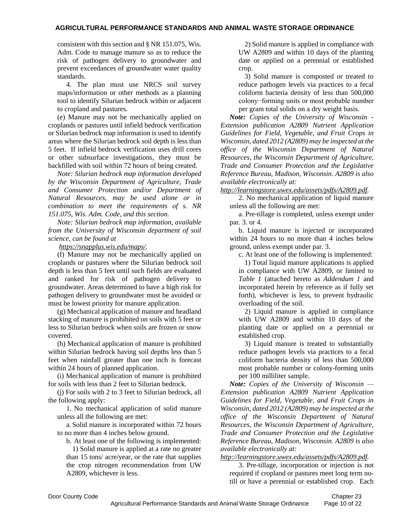consistent with this section and § NR 151.075, Wis. Adm. Code to manage manure so as to reduce the risk of pathogen delivery to groundwater and prevent exceedances of groundwater water quality standards.

4. The plan must use NRCS soil survey maps/information or other methods as a planning tool to identify Silurian bedrock within or adjacent to cropland and pastures.

(e) Manure may not be mechanically applied on croplands or pastures until infield bedrock verification or Silurian bedrock map information is used to identify areas where the Silurian bedrock soil depth is less than 5 feet. If infield bedrock verification uses drill cores or other subsurface investigations, they must be backfilled with soil within 72 hours of being created.

*Note: Silurian bedrock map information developed by the Wisconsin Department of Agriculture, Trade and Consumer Protection and/or Department of Natural Resources, may be used alone or in combination to meet the requirements of s. NR 151.075, Wis. Adm. Code, and this section.*

*Note: Silurian bedrock map information, available from the University of Wisconsin department of soil science, can be found at*

*[https://snapplus.wis.edu/maps/.](https://snapplus.wis.edu/maps/)*

(f) Manure may not be mechanically applied on croplands or pastures where the Silurian bedrock soil depth is less than 5 feet until such fields are evaluated and ranked for risk of pathogen delivery to groundwater. Areas determined to have a high risk for pathogen delivery to groundwater must be avoided or must be lowest priority for manure application.

(g) Mechanical application of manure and headland stacking of manure is prohibited on soils with 5 feet or less to Silurian bedrock when soils are frozen or snow covered.

(h) Mechanical application of manure is prohibited within Silurian bedrock having soil depths less than 5 feet when rainfall greater than one inch is forecast within 24 hours of planned application.

(i) Mechanical application of manure is prohibited for soils with less than 2 feet to Silurian bedrock.

(j) For soils with 2 to 3 feet to Silurian bedrock, all the following apply:

1. No mechanical application of solid manure unless all the following are met:

a. Solid manure is incorporated within 72 hours to no more than 4 inches below ground.

b. At least one of the following is implemented:

1) Solid manure is applied at a rate no greater than 15 tons/ acre/year, or the rate that supplies the crop nitrogen recommendation from UW A2809, whichever is less.

2) Solid manure is applied in compliance with UW A2809 and within 10 days of the planting date or applied on a perennial or established crop.

3) Solid manure is composted or treated to reduce pathogen levels via practices to a fecal coliform bacteria density of less than 500,000 colony−forming units or most probable number per gram total solids on a dry weight basis.

*Note: Copies of the University of Wisconsin - Extension publication A2809 Nutrient Application Guidelines for Field, Vegetable, and Fruit Crops in Wisconsin, dated 2012 (A2809) may be inspected at the office of the Wisconsin Department of Natural Resources, the Wisconsin Department of Agriculture, Trade and Consumer Protection and the Legislative Reference Bureau, Madison, Wisconsin. A2809 is also available electronically at:*

*[http://learningstore.uwex.edu/assets/pdfs/A2809.pdf.](http://learningstore.uwex.edu/assets/pdfs/A2809.pdf)*

2. No mechanical application of liquid manure unless all the following are met:

a. Pre-tillage is completed, unless exempt under par. 3. or 4.

b. Liquid manure is injected or incorporated within 24 hours to no more than 4 inches below ground, unless exempt under par. 3.

c. At least one of the following is implemented:

1) Total liquid manure applications is applied in compliance with UW A2809, or limited to *Table 1* (attached hereto as *Addendum 1* and incorporated herein by reference as if fully set forth), whichever is less, to prevent hydraulic overloading of the soil.

2) Liquid manure is applied in compliance with UW A2809 and within 10 days of the planting date or applied on a perennial or established crop.

3) Liquid manure is treated to substantially reduce pathogen levels via practices to a fecal coliform bacteria density of less than 500,000 most probable number or colony-forming units per 100 milliliter sample.

*Note: Copies of the University of Wisconsin — Extension publication A2809 Nutrient Application Guidelines for Field, Vegetable, and Fruit Crops in Wisconsin, dated 2012 (A2809) may be inspected at the office of the Wisconsin Department of Natural Resources, the Wisconsin Department of Agriculture, Trade and Consumer Protection and the Legislative Reference Bureau, Madison, Wisconsin. A2809 is also available electronically at:*

*[http://learningstore.uwex.edu/assets/pdfs/A2809.pdf.](http://learningstore.uwex.edu/assets/pdfs/A2809.pdf)*

3. Pre-tillage, incorporation or injection is not required if cropland or pastures meet long term notill or have a perennial or established crop. Each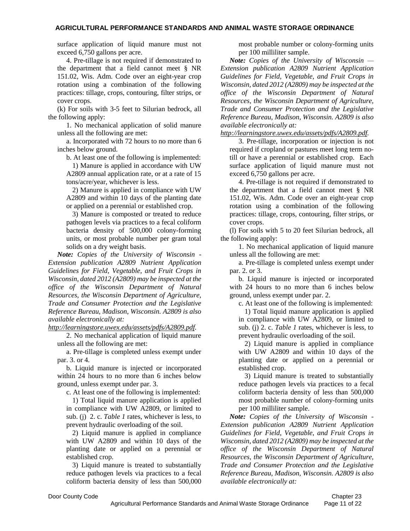surface application of liquid manure must not exceed 6,750 gallons per acre.

4. Pre-tillage is not required if demonstrated to the department that a field cannot meet § NR 151.02, Wis. Adm. Code over an eight-year crop rotation using a combination of the following practices: tillage, crops, contouring, filter strips, or cover crops.

(k) For soils with 3-5 feet to Silurian bedrock, all the following apply:

1. No mechanical application of solid manure unless all the following are met:

a. Incorporated with 72 hours to no more than 6 inches below ground.

b. At least one of the following is implemented:

1) Manure is applied in accordance with UW A2809 annual application rate, or at a rate of 15 tons/acre/year, whichever is less.

2) Manure is applied in compliance with UW A2809 and within 10 days of the planting date or applied on a perennial or established crop.

3) Manure is composted or treated to reduce pathogen levels via practices to a fecal coliform bacteria density of 500,000 colony-forming units, or most probable number per gram total solids on a dry weight basis.

*Note: Copies of the University of Wisconsin - Extension publication A2809 Nutrient Application Guidelines for Field, Vegetable, and Fruit Crops in Wisconsin, dated 2012 (A2809) may be inspected at the office of the Wisconsin Department of Natural Resources, the Wisconsin Department of Agriculture, Trade and Consumer Protection and the Legislative Reference Bureau, Madison, Wisconsin. A2809 is also available electronically at:*

*[http://learningstore.uwex.edu/assets/pdfs/A2809.pdf.](http://learningstore.uwex.edu/assets/pdfs/A2809.pdf)*

2. No mechanical application of liquid manure unless all the following are met:

a. Pre-tillage is completed unless exempt under par. 3. or 4.

b. Liquid manure is injected or incorporated within 24 hours to no more than 6 inches below ground, unless exempt under par. 3.

c. At least one of the following is implemented:

1) Total liquid manure application is applied in compliance with UW A2809, or limited to sub. (j) 2. c. *Table 1* rates, whichever is less, to prevent hydraulic overloading of the soil.

2) Liquid manure is applied in compliance with UW A2809 and within 10 days of the planting date or applied on a perennial or established crop.

3) Liquid manure is treated to substantially reduce pathogen levels via practices to a fecal coliform bacteria density of less than 500,000

most probable number or colony-forming units per 100 milliliter sample.

*Note: Copies of the University of Wisconsin — Extension publication A2809 Nutrient Application Guidelines for Field, Vegetable, and Fruit Crops in Wisconsin, dated 2012 (A2809) may be inspected at the office of the Wisconsin Department of Natural Resources, the Wisconsin Department of Agriculture, Trade and Consumer Protection and the Legislative Reference Bureau, Madison, Wisconsin. A2809 is also available electronically at:*

*[http://learningstore.uwex.edu/assets/pdfs/A2809.pdf.](http://learningstore.uwex.edu/assets/pdfs/A2809.pdf)*

3. Pre-tillage, incorporation or injection is not required if cropland or pastures meet long term notill or have a perennial or established crop. Each surface application of liquid manure must not exceed 6,750 gallons per acre.

4. Pre-tillage is not required if demonstrated to the department that a field cannot meet § NR 151.02, Wis. Adm. Code over an eight-year crop rotation using a combination of the following practices: tillage, crops, contouring, filter strips, or cover crops.

(l) For soils with 5 to 20 feet Silurian bedrock, all the following apply:

1. No mechanical application of liquid manure unless all the following are met:

a. Pre-tillage is completed unless exempt under par. 2. or 3.

b. Liquid manure is injected or incorporated with 24 hours to no more than 6 inches below ground, unless exempt under par. 2.

c. At least one of the following is implemented:

1) Total liquid manure application is applied in compliance with UW A2809, or limited to sub. (j) 2. c. *Table 1* rates, whichever is less, to prevent hydraulic overloading of the soil.

2) Liquid manure is applied in compliance with UW A2809 and within 10 days of the planting date or applied on a perennial or established crop.

3) Liquid manure is treated to substantially reduce pathogen levels via practices to a fecal coliform bacteria density of less than 500,000 most probable number of colony-forming units per 100 milliliter sample.

*Note: Copies of the University of Wisconsin - Extension publication A2809 Nutrient Application Guidelines for Field, Vegetable, and Fruit Crops in Wisconsin, dated 2012 (A2809) may be inspected at the office of the Wisconsin Department of Natural Resources, the Wisconsin Department of Agriculture, Trade and Consumer Protection and the Legislative Reference Bureau, Madison, Wisconsin. A2809 is also available electronically at:*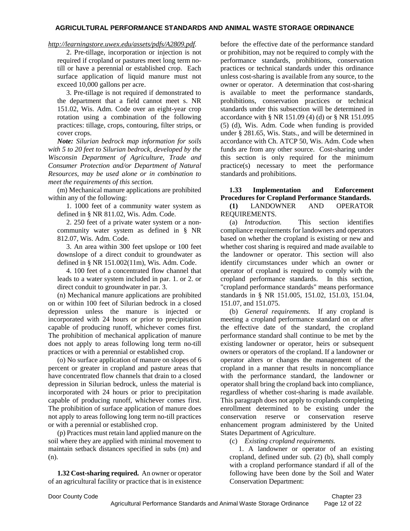## *[http://learningstore.uwex.edu/assets/pdfs/A2809.pdf.](http://learningstore.uwex.edu/assets/pdfs/A2809.pdf)*

2. Pre-tillage, incorporation or injection is not required if cropland or pastures meet long term notill or have a perennial or established crop. Each surface application of liquid manure must not exceed 10,000 gallons per acre.

3. Pre-tillage is not required if demonstrated to the department that a field cannot meet s. NR 151.02, Wis. Adm. Code over an eight-year crop rotation using a combination of the following practices: tillage, crops, contouring, filter strips, or cover crops.

*Note: Silurian bedrock map information for soils with 5 to 20 feet to Silurian bedrock, developed by the Wisconsin Department of Agriculture, Trade and Consumer Protection and/or Department of Natural Resources, may be used alone or in combination to meet the requirements of this section.*

(m) Mechanical manure applications are prohibited within any of the following:

1. 1000 feet of a community water system as defined in § NR 811.02, Wis. Adm. Code.

2. 250 feet of a private water system or a noncommunity water system as defined in § NR 812.07, Wis. Adm. Code.

3. An area within 300 feet upslope or 100 feet downslope of a direct conduit to groundwater as defined in § NR 151.002(11m), Wis. Adm. Code.

4. 100 feet of a concentrated flow channel that leads to a water system included in par. 1. or 2. or direct conduit to groundwater in par. 3.

(n) Mechanical manure applications are prohibited on or within 100 feet of Silurian bedrock in a closed depression unless the manure is injected or incorporated with 24 hours or prior to precipitation capable of producing runoff, whichever comes first. The prohibition of mechanical application of manure does not apply to areas following long term no-till practices or with a perennial or established crop.

(o) No surface application of manure on slopes of 6 percent or greater in cropland and pasture areas that have concentrated flow channels that drain to a closed depression in Silurian bedrock, unless the material is incorporated with 24 hours or prior to precipitation capable of producing runoff, whichever comes first. The prohibition of surface application of manure does not apply to areas following long term no-till practices or with a perennial or established crop.

(p) Practices must retain land applied manure on the soil where they are applied with minimal movement to maintain setback distances specified in subs (m) and (n).

**1.32 Cost-sharing required.** An owner or operator of an agricultural facility or practice that is in existence before the effective date of the performance standard or prohibition, may not be required to comply with the performance standards, prohibitions, conservation practices or technical standards under this ordinance unless cost-sharing is available from any source, to the owner or operator. A determination that cost-sharing is available to meet the performance standards, prohibitions, conservation practices or technical standards under this subsection will be determined in accordance with § NR 151.09 (4) (d) or § NR 151.095 (5) (d), Wis. Adm. Code when funding is provided under § 281.65, Wis. Stats., and will be determined in accordance with Ch. ATCP 50, Wis. Adm. Code when funds are from any other source. Cost-sharing under this section is only required for the minimum practice(s) necessary to meet the performance standards and prohibitions.

## **1.33 Implementation and Enforcement Procedures for Cropland Performance Standards. (1)** LANDOWNER AND OPERATOR REQUIREMENTS.

(a) *Introduction.* This section identifies compliance requirements for landowners and operators based on whether the cropland is existing or new and whether cost sharing is required and made available to the landowner or operator. This section will also identify circumstances under which an owner or operator of cropland is required to comply with the cropland performance standards. In this section, "cropland performance standards" means performance standards in § NR 151.005, 151.02, 151.03, 151.04, 151.07, and 151.075.

(b) *General requirements.* If any cropland is meeting a cropland performance standard on or after the effective date of the standard, the cropland performance standard shall continue to be met by the existing landowner or operator, heirs or subsequent owners or operators of the cropland. If a landowner or operator alters or changes the management of the cropland in a manner that results in noncompliance with the performance standard, the landowner or operator shall bring the cropland back into compliance, regardless of whether cost-sharing is made available. This paragraph does not apply to croplands completing enrollment determined to be existing under the conservation reserve or conservation reserve enhancement program administered by the United States Department of Agriculture.

(c) *Existing cropland requirements.*

1. A landowner or operator of an existing cropland, defined under sub. (2) (b), shall comply with a cropland performance standard if all of the following have been done by the Soil and Water Conservation Department: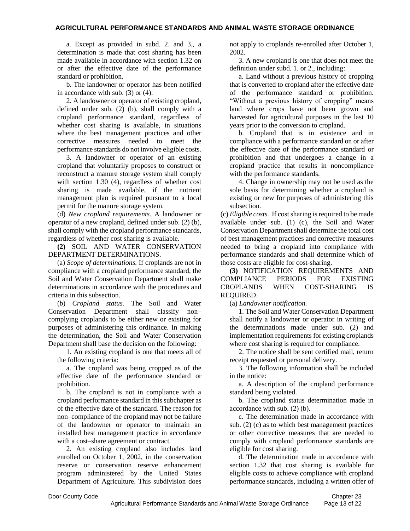a. Except as provided in subd. 2. and 3., a determination is made that cost sharing has been made available in accordance with section 1.32 on or after the effective date of the performance standard or prohibition.

b. The landowner or operator has been notified in accordance with sub. (3) or (4).

2. A landowner or operator of existing cropland, defined under sub. (2) (b), shall comply with a cropland performance standard, regardless of whether cost sharing is available, in situations where the best management practices and other corrective measures needed to meet the performance standards do not involve eligible costs.

3. A landowner or operator of an existing cropland that voluntarily proposes to construct or reconstruct a manure storage system shall comply with section 1.30 (4), regardless of whether cost sharing is made available, if the nutrient management plan is required pursuant to a local permit for the manure storage system.

(d) *New cropland requirements.* A landowner or operator of a new cropland, defined under sub. (2) (b), shall comply with the cropland performance standards, regardless of whether cost sharing is available.

**(2)** SOIL AND WATER CONSERVATION DEPARTMENT DETERMINATIONS.

(a) *Scope of determinations.* If croplands are not in compliance with a cropland performance standard, the Soil and Water Conservation Department shall make determinations in accordance with the procedures and criteria in this subsection.

(b) *Cropland status.* The Soil and Water Conservation Department shall classify non– complying croplands to be either new or existing for purposes of administering this ordinance. In making the determination, the Soil and Water Conservation Department shall base the decision on the following:

1. An existing cropland is one that meets all of the following criteria:

a. The cropland was being cropped as of the effective date of the performance standard or prohibition.

b. The cropland is not in compliance with a cropland performance standard in this subchapter as of the effective date of the standard. The reason for non–compliance of the cropland may not be failure of the landowner or operator to maintain an installed best management practice in accordance with a cost–share agreement or contract.

2. An existing cropland also includes land enrolled on October 1, 2002, in the conservation reserve or conservation reserve enhancement program administered by the United States Department of Agriculture. This subdivision does not apply to croplands re-enrolled after October 1, 2002.

3. A new cropland is one that does not meet the definition under subd. 1. or 2., including:

a. Land without a previous history of cropping that is converted to cropland after the effective date of the performance standard or prohibition. "Without a previous history of cropping" means land where crops have not been grown and harvested for agricultural purposes in the last 10 years prior to the conversion to cropland.

b. Cropland that is in existence and in compliance with a performance standard on or after the effective date of the performance standard or prohibition and that undergoes a change in a cropland practice that results in noncompliance with the performance standards.

4. Change in ownership may not be used as the sole basis for determining whether a cropland is existing or new for purposes of administering this subsection.

(c) *Eligible costs.* If cost sharing is required to be made available under sub. (1) (c), the Soil and Water Conservation Department shall determine the total cost of best management practices and corrective measures needed to bring a cropland into compliance with performance standards and shall determine which of those costs are eligible for cost-sharing.

**(3)** NOTIFICATION REQUIREMENTS AND COMPLIANCE PERIODS FOR EXISTING CROPLANDS WHEN COST-SHARING IS REQUIRED.

(a) *Landowner notification.* 

1. The Soil and Water Conservation Department shall notify a landowner or operator in writing of the determinations made under sub. (2) and implementation requirements for existing croplands where cost sharing is required for compliance.

2. The notice shall be sent certified mail, return receipt requested or personal delivery.

3. The following information shall be included in the notice:

a. A description of the cropland performance standard being violated.

b. The cropland status determination made in accordance with sub. (2) (b).

c. The determination made in accordance with sub. (2) (c) as to which best management practices or other corrective measures that are needed to comply with cropland performance standards are eligible for cost sharing.

d. The determination made in accordance with section 1.32 that cost sharing is available for eligible costs to achieve compliance with cropland performance standards, including a written offer of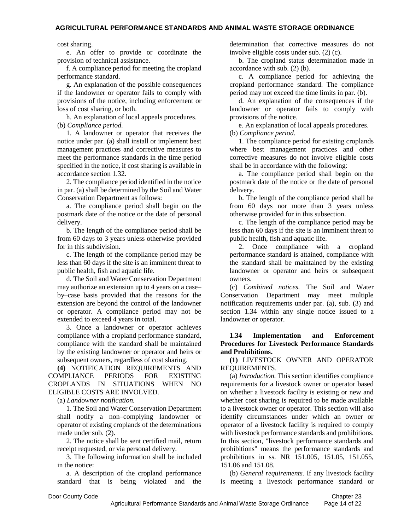#### cost sharing.

e. An offer to provide or coordinate the provision of technical assistance.

f. A compliance period for meeting the cropland performance standard.

g. An explanation of the possible consequences if the landowner or operator fails to comply with provisions of the notice, including enforcement or loss of cost sharing, or both.

h. An explanation of local appeals procedures. (b) *Compliance period.* 

1. A landowner or operator that receives the notice under par. (a) shall install or implement best management practices and corrective measures to meet the performance standards in the time period specified in the notice, if cost sharing is available in accordance section 1.32.

2. The compliance period identified in the notice in par. (a) shall be determined by the Soil and Water Conservation Department as follows:

a. The compliance period shall begin on the postmark date of the notice or the date of personal delivery.

b. The length of the compliance period shall be from 60 days to 3 years unless otherwise provided for in this subdivision.

c. The length of the compliance period may be less than 60 days if the site is an imminent threat to public health, fish and aquatic life.

d. The Soil and Water Conservation Department may authorize an extension up to 4 years on a case– by–case basis provided that the reasons for the extension are beyond the control of the landowner or operator. A compliance period may not be extended to exceed 4 years in total.

3. Once a landowner or operator achieves compliance with a cropland performance standard, compliance with the standard shall be maintained by the existing landowner or operator and heirs or subsequent owners, regardless of cost sharing.

**(4)** NOTIFICATION REQUIREMENTS AND COMPLIANCE PERIODS FOR EXISTING CROPLANDS IN SITUATIONS WHEN NO ELIGIBLE COSTS ARE INVOLVED.

(a) *Landowner notification.*

1. The Soil and Water Conservation Department shall notify a non–complying landowner or operator of existing croplands of the determinations made under sub. (2).

2. The notice shall be sent certified mail, return receipt requested, or via personal delivery.

3. The following information shall be included in the notice:

a. A description of the cropland performance standard that is being violated and the determination that corrective measures do not involve eligible costs under sub. (2) (c).

b. The cropland status determination made in accordance with sub. (2) (b).

c. A compliance period for achieving the cropland performance standard. The compliance period may not exceed the time limits in par. (b).

d. An explanation of the consequences if the landowner or operator fails to comply with provisions of the notice.

e. An explanation of local appeals procedures. (b) *Compliance period.* 

1. The compliance period for existing croplands where best management practices and other corrective measures do not involve eligible costs shall be in accordance with the following:

a. The compliance period shall begin on the postmark date of the notice or the date of personal delivery.

b. The length of the compliance period shall be from 60 days nor more than 3 years unless otherwise provided for in this subsection.

c. The length of the compliance period may be less than 60 days if the site is an imminent threat to public health, fish and aquatic life.

2. Once compliance with a cropland performance standard is attained, compliance with the standard shall be maintained by the existing landowner or operator and heirs or subsequent owners.

(c) *Combined notices.* The Soil and Water Conservation Department may meet multiple notification requirements under par. (a), sub. (3) and section 1.34 within any single notice issued to a landowner or operator.

## **1.34 Implementation and Enforcement Procedures for Livestock Performance Standards and Prohibitions.**

**(1)** LIVESTOCK OWNER AND OPERATOR REQUIREMENTS.

(a) *Introduction.* This section identifies compliance requirements for a livestock owner or operator based on whether a livestock facility is existing or new and whether cost sharing is required to be made available to a livestock owner or operator. This section will also identify circumstances under which an owner or operator of a livestock facility is required to comply with livestock performance standards and prohibitions. In this section, "livestock performance standards and prohibitions" means the performance standards and prohibitions in ss. NR 151.005, 151.05, 151.055, 151.06 and 151.08.

(b) *General requirements.* If any livestock facility is meeting a livestock performance standard or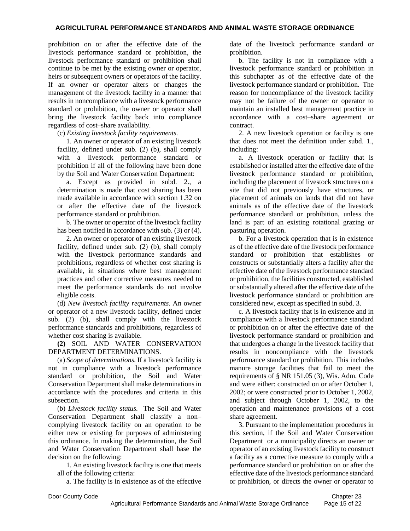prohibition on or after the effective date of the livestock performance standard or prohibition, the livestock performance standard or prohibition shall continue to be met by the existing owner or operator, heirs or subsequent owners or operators of the facility. If an owner or operator alters or changes the management of the livestock facility in a manner that results in noncompliance with a livestock performance standard or prohibition, the owner or operator shall bring the livestock facility back into compliance regardless of cost–share availability.

(c) *Existing livestock facility requirements.*

1. An owner or operator of an existing livestock facility, defined under sub. (2) (b), shall comply with a livestock performance standard or prohibition if all of the following have been done by the Soil and Water Conservation Department:

a. Except as provided in subd. 2., a determination is made that cost sharing has been made available in accordance with section 1.32 on or after the effective date of the livestock performance standard or prohibition.

b. The owner or operator of the livestock facility has been notified in accordance with sub. (3) or (4).

2. An owner or operator of an existing livestock facility, defined under sub. (2) (b), shall comply with the livestock performance standards and prohibitions, regardless of whether cost sharing is available, in situations where best management practices and other corrective measures needed to meet the performance standards do not involve eligible costs.

(d) *New livestock facility requirements.* An owner or operator of a new livestock facility, defined under sub. (2) (b), shall comply with the livestock performance standards and prohibitions, regardless of whether cost sharing is available.

**(2)** SOIL AND WATER CONSERVATION DEPARTMENT DETERMINATIONS.

(a) *Scope of determinations.* If a livestock facility is not in compliance with a livestock performance standard or prohibition, the Soil and Water Conservation Department shall make determinations in accordance with the procedures and criteria in this subsection.

(b) *Livestock facility status.* The Soil and Water Conservation Department shall classify a non– complying livestock facility on an operation to be either new or existing for purposes of administering this ordinance. In making the determination, the Soil and Water Conservation Department shall base the decision on the following:

1. An existing livestock facility is one that meets all of the following criteria:

a. The facility is in existence as of the effective

date of the livestock performance standard or prohibition.

b. The facility is not in compliance with a livestock performance standard or prohibition in this subchapter as of the effective date of the livestock performance standard or prohibition. The reason for noncompliance of the livestock facility may not be failure of the owner or operator to maintain an installed best management practice in accordance with a cost–share agreement or contract.

2. A new livestock operation or facility is one that does not meet the definition under subd. 1., including:

a. A livestock operation or facility that is established or installed after the effective date of the livestock performance standard or prohibition, including the placement of livestock structures on a site that did not previously have structures, or placement of animals on lands that did not have animals as of the effective date of the livestock performance standard or prohibition, unless the land is part of an existing rotational grazing or pasturing operation.

b. For a livestock operation that is in existence as of the effective date of the livestock performance standard or prohibition that establishes or constructs or substantially alters a facility after the effective date of the livestock performance standard or prohibition, the facilities constructed, established or substantially altered after the effective date of the livestock performance standard or prohibition are considered new, except as specified in subd. 3.

c. A livestock facility that is in existence and in compliance with a livestock performance standard or prohibition on or after the effective date of the livestock performance standard or prohibition and that undergoes a change in the livestock facility that results in noncompliance with the livestock performance standard or prohibition. This includes manure storage facilities that fail to meet the requirements of § NR 151.05 (3), Wis. Adm. Code and were either: constructed on or after October 1, 2002; or were constructed prior to October 1, 2002, and subject through October 1, 2002, to the operation and maintenance provisions of a cost share agreement.

3. Pursuant to the implementation procedures in this section, if the Soil and Water Conservation Department or a municipality directs an owner or operator of an existing livestock facility to construct a facility as a corrective measure to comply with a performance standard or prohibition on or after the effective date of the livestock performance standard or prohibition, or directs the owner or operator to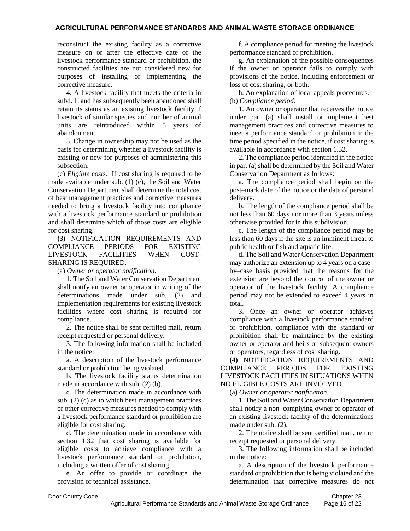reconstruct the existing facility as a corrective measure on or after the effective date of the livestock performance standard or prohibition, the constructed facilities are not considered new for purposes of installing or implementing the corrective measure.

4. A livestock facility that meets the criteria in subd. 1. and has subsequently been abandoned shall retain its status as an existing livestock facility if livestock of similar species and number of animal units are reintroduced within 5 years of abandonment.

5. Change in ownership may not be used as the basis for determining whether a livestock facility is existing or new for purposes of administering this subsection.

(c) *Eligible costs.* If cost sharing is required to be made available under sub. (1) (c), the Soil and Water Conservation Department shall determine the total cost of best management practices and corrective measures needed to bring a livestock facility into compliance with a livestock performance standard or prohibition and shall determine which of those costs are eligible for cost sharing.

**(3)** NOTIFICATION REQUIREMENTS AND COMPLIANCE PERIODS FOR EXISTING LIVESTOCK FACILITIES WHEN COST-SHARING IS REQUIRED.

(a) *Owner or operator notification.*

1. The Soil and Water Conservation Department shall notify an owner or operator in writing of the determinations made under sub. (2) and implementation requirements for existing livestock facilities where cost sharing is required for compliance.

2. The notice shall be sent certified mail, return receipt requested or personal delivery.

3. The following information shall be included in the notice:

a. A description of the livestock performance standard or prohibition being violated.

b. The livestock facility status determination made in accordance with sub. (2) (b).

c. The determination made in accordance with sub. (2) (c) as to which best management practices or other corrective measures needed to comply with a livestock performance standard or prohibition are eligible for cost sharing.

d. The determination made in accordance with section 1.32 that cost sharing is available for eligible costs to achieve compliance with a livestock performance standard or prohibition, including a written offer of cost sharing.

e. An offer to provide or coordinate the provision of technical assistance.

f. A compliance period for meeting the livestock performance standard or prohibition.

g. An explanation of the possible consequences if the owner or operator fails to comply with provisions of the notice, including enforcement or loss of cost sharing, or both.

h. An explanation of local appeals procedures. (b) *Compliance period.* 

1. An owner or operator that receives the notice under par. (a) shall install or implement best management practices and corrective measures to meet a performance standard or prohibition in the time period specified in the notice, if cost sharing is available in accordance with section 1.32.

2. The compliance period identified in the notice in par. (a) shall be determined by the Soil and Water Conservation Department as follows:

a. The compliance period shall begin on the post–mark date of the notice or the date of personal delivery.

b. The length of the compliance period shall be not less than 60 days nor more than 3 years unless otherwise provided for in this subdivision.

c. The length of the compliance period may be less than 60 days if the site is an imminent threat to public health or fish and aquatic life.

d. The Soil and Water Conservation Department may authorize an extension up to 4 years on a case– by–case basis provided that the reasons for the extension are beyond the control of the owner or operator of the livestock facility. A compliance period may not be extended to exceed 4 years in total.

3. Once an owner or operator achieves compliance with a livestock performance standard or prohibition, compliance with the standard or prohibition shall be maintained by the existing owner or operator and heirs or subsequent owners or operators, regardless of cost sharing.

**(4)** NOTIFICATION REQUIREMENTS AND COMPLIANCE PERIODS FOR EXISTING LIVESTOCK FACILITIES IN SITUATIONS WHEN NO ELIGIBLE COSTS ARE INVOLVED.

(a) *Owner or operator notification.*

1. The Soil and Water Conservation Department shall notify a non–complying owner or operator of an existing livestock facility of the determinations made under sub. (2).

2. The notice shall be sent certified mail, return receipt requested or personal delivery.

3. The following information shall be included in the notice:

a. A description of the livestock performance standard or prohibition that is being violated and the determination that corrective measures do not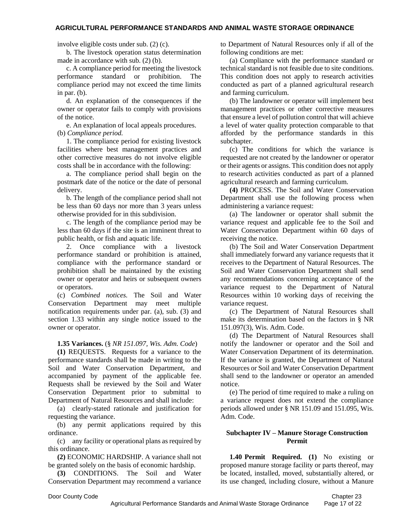involve eligible costs under sub. (2) (c).

b. The livestock operation status determination made in accordance with sub. (2) (b).

c. A compliance period for meeting the livestock performance standard or prohibition. The compliance period may not exceed the time limits in par. (b).

d. An explanation of the consequences if the owner or operator fails to comply with provisions of the notice.

e. An explanation of local appeals procedures. (b) *Compliance period.*

1. The compliance period for existing livestock facilities where best management practices and other corrective measures do not involve eligible costs shall be in accordance with the following:

a. The compliance period shall begin on the postmark date of the notice or the date of personal delivery.

b. The length of the compliance period shall not be less than 60 days nor more than 3 years unless otherwise provided for in this subdivision.

c. The length of the compliance period may be less than 60 days if the site is an imminent threat to public health, or fish and aquatic life.

2. Once compliance with a livestock performance standard or prohibition is attained, compliance with the performance standard or prohibition shall be maintained by the existing owner or operator and heirs or subsequent owners or operators.

(c) *Combined notices.* The Soil and Water Conservation Department may meet multiple notification requirements under par. (a), sub. (3) and section 1.33 within any single notice issued to the owner or operator.

### **1.35 Variances.** (§ *NR 151.097, Wis. Adm. Code*)

**(1)** REQUESTS. Requests for a variance to the performance standards shall be made in writing to the Soil and Water Conservation Department, and accompanied by payment of the applicable fee. Requests shall be reviewed by the Soil and Water Conservation Department prior to submittal to Department of Natural Resources and shall include:

(a) clearly-stated rationale and justification for requesting the variance.

(b) any permit applications required by this ordinance.

(c) any facility or operational plans as required by this ordinance.

**(2)** ECONOMIC HARDSHIP. A variance shall not be granted solely on the basis of economic hardship.

**(3)** CONDITIONS. The Soil and Water Conservation Department may recommend a variance to Department of Natural Resources only if all of the following conditions are met:

(a) Compliance with the performance standard or technical standard is not feasible due to site conditions. This condition does not apply to research activities conducted as part of a planned agricultural research and farming curriculum.

(b) The landowner or operator will implement best management practices or other corrective measures that ensure a level of pollution control that will achieve a level of water quality protection comparable to that afforded by the performance standards in this subchapter.

(c) The conditions for which the variance is requested are not created by the landowner or operator or their agents or assigns. This condition does not apply to research activities conducted as part of a planned agricultural research and farming curriculum.

**(4)** PROCESS. The Soil and Water Conservation Department shall use the following process when administering a variance request:

(a) The landowner or operator shall submit the variance request and applicable fee to the Soil and Water Conservation Department within 60 days of receiving the notice.

(b) The Soil and Water Conservation Department shall immediately forward any variance requests that it receives to the Department of Natural Resources. The Soil and Water Conservation Department shall send any recommendations concerning acceptance of the variance request to the Department of Natural Resources within 10 working days of receiving the variance request.

(c) The Department of Natural Resources shall make its determination based on the factors in § NR 151.097(3), Wis. Adm. Code.

(d) The Department of Natural Resources shall notify the landowner or operator and the Soil and Water Conservation Department of its determination. If the variance is granted, the Department of Natural Resources or Soil and Water Conservation Department shall send to the landowner or operator an amended notice.

(e) The period of time required to make a ruling on a variance request does not extend the compliance periods allowed under § NR 151.09 and 151.095, Wis. Adm. Code.

#### **Subchapter IV – Manure Storage Construction Permit**

**1.40 Permit Required. (1)** No existing or proposed manure storage facility or parts thereof, may be located, installed, moved, substantially altered, or its use changed, including closure, without a Manure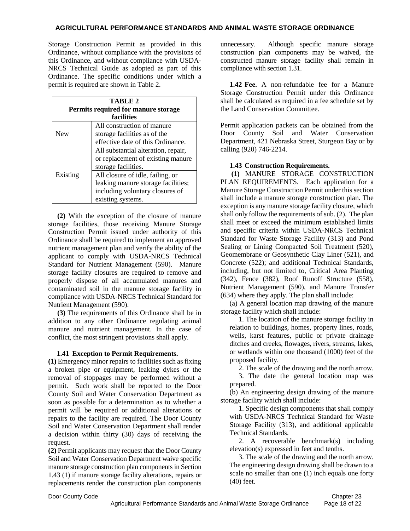Storage Construction Permit as provided in this Ordinance, without compliance with the provisions of this Ordinance, and without compliance with USDA-NRCS Technical Guide as adopted as part of this Ordinance. The specific conditions under which a permit is required are shown in Table 2.

| TABLE 2                             |                                     |  |  |  |
|-------------------------------------|-------------------------------------|--|--|--|
| Permits required for manure storage |                                     |  |  |  |
| <b>facilities</b>                   |                                     |  |  |  |
| <b>New</b>                          | All construction of manure          |  |  |  |
|                                     | storage facilities as of the        |  |  |  |
|                                     | effective date of this Ordinance.   |  |  |  |
| Existing                            | All substantial alteration, repair, |  |  |  |
|                                     | or replacement of existing manure   |  |  |  |
|                                     | storage facilities.                 |  |  |  |
|                                     | All closure of idle, failing, or    |  |  |  |
|                                     | leaking manure storage facilities;  |  |  |  |
|                                     | including voluntary closures of     |  |  |  |
|                                     | existing systems.                   |  |  |  |

**(2)** With the exception of the closure of manure storage facilities, those receiving Manure Storage Construction Permit issued under authority of this Ordinance shall be required to implement an approved nutrient management plan and verify the ability of the applicant to comply with USDA-NRCS Technical Standard for Nutrient Management (590). Manure storage facility closures are required to remove and properly dispose of all accumulated manures and contaminated soil in the manure storage facility in compliance with USDA-NRCS Technical Standard for Nutrient Management (590).

**(3)** The requirements of this Ordinance shall be in addition to any other Ordinance regulating animal manure and nutrient management. In the case of conflict, the most stringent provisions shall apply.

### **1.41 Exception to Permit Requirements.**

**(1)** Emergency minor repairs to facilities such as fixing a broken pipe or equipment, leaking dykes or the removal of stoppages may be performed without a permit. Such work shall be reported to the Door County Soil and Water Conservation Department as soon as possible for a determination as to whether a permit will be required or additional alterations or repairs to the facility are required. The Door County Soil and Water Conservation Department shall render a decision within thirty (30) days of receiving the request.

**(2)** Permit applicants may request that the Door County Soil and Water Conservation Department waive specific manure storage construction plan components in Section 1.43 (1) if manure storage facility alterations, repairs or replacements render the construction plan components

unnecessary. Although specific manure storage construction plan components may be waived, the constructed manure storage facility shall remain in compliance with section 1.31.

**1.42 Fee.** A non-refundable fee for a Manure Storage Construction Permit under this Ordinance shall be calculated as required in a fee schedule set by the Land Conservation Committee.

Permit application packets can be obtained from the Door County Soil and Water Conservation Department, 421 Nebraska Street, Sturgeon Bay or by calling (920) 746-2214.

## **1.43 Construction Requirements.**

**(1)** MANURE STORAGE CONSTRUCTION PLAN REQUIREMENTS. Each application for a Manure Storage Construction Permit under this section shall include a manure storage construction plan. The exception is any manure storage facility closure, which shall only follow the requirements of sub. (2). The plan shall meet or exceed the minimum established limits and specific criteria within USDA-NRCS Technical Standard for Waste Storage Facility (313) and Pond Sealing or Lining Compacted Soil Treatment (520), Geomembrane or Geosynthetic Clay Liner (521), and Concrete (522); and additional Technical Standards, including, but not limited to, Critical Area Planting (342), Fence (382), Roof Runoff Structure (558), Nutrient Management (590), and Manure Transfer (634) where they apply. The plan shall include:

(a) A general location map drawing of the manure storage facility which shall include:

1. The location of the manure storage facility in relation to buildings, homes, property lines, roads, wells, karst features, public or private drainage ditches and creeks, flowages, rivers, streams, lakes, or wetlands within one thousand (1000) feet of the proposed facility.

2. The scale of the drawing and the north arrow.

3. The date the general location map was prepared.

(b) An engineering design drawing of the manure storage facility which shall include:

1. Specific design components that shall comply with USDA-NRCS Technical Standard for Waste Storage Facility (313), and additional applicable Technical Standards.

2. A recoverable benchmark(s) including elevation(s) expressed in feet and tenths.

3. The scale of the drawing and the north arrow. The engineering design drawing shall be drawn to a scale no smaller than one (1) inch equals one forty (40) feet.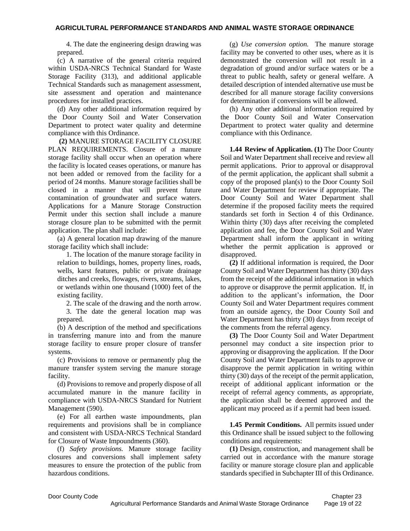4. The date the engineering design drawing was prepared.

(c) A narrative of the general criteria required within USDA-NRCS Technical Standard for Waste Storage Facility (313), and additional applicable Technical Standards such as management assessment, site assessment and operation and maintenance procedures for installed practices.

(d) Any other additional information required by the Door County Soil and Water Conservation Department to protect water quality and determine compliance with this Ordinance.

**(2)** MANURE STORAGE FACILITY CLOSURE PLAN REQUIREMENTS. Closure of a manure storage facility shall occur when an operation where the facility is located ceases operations, or manure has not been added or removed from the facility for a period of 24 months. Manure storage facilities shall be closed in a manner that will prevent future contamination of groundwater and surface waters. Applications for a Manure Storage Construction Permit under this section shall include a manure storage closure plan to be submitted with the permit application. The plan shall include:

(a) A general location map drawing of the manure storage facility which shall include:

1. The location of the manure storage facility in relation to buildings, homes, property lines, roads, wells, karst features, public or private drainage ditches and creeks, flowages, rivers, streams, lakes, or wetlands within one thousand (1000) feet of the existing facility.

2. The scale of the drawing and the north arrow.

3. The date the general location map was prepared.

(b) A description of the method and specifications in transferring manure into and from the manure storage facility to ensure proper closure of transfer systems.

(c) Provisions to remove or permanently plug the manure transfer system serving the manure storage facility.

(d) Provisions to remove and properly dispose of all accumulated manure in the manure facility in compliance with USDA-NRCS Standard for Nutrient Management (590).

(e) For all earthen waste impoundments, plan requirements and provisions shall be in compliance and consistent with USDA-NRCS Technical Standard for Closure of Waste Impoundments (360).

(f) *Safety provisions.* Manure storage facility closures and conversions shall implement safety measures to ensure the protection of the public from hazardous conditions.

(g) *Use conversion option.* The manure storage facility may be converted to other uses, where as it is demonstrated the conversion will not result in a degradation of ground and/or surface waters or be a threat to public health, safety or general welfare. A detailed description of intended alternative use must be described for all manure storage facility conversions for determination if conversions will be allowed.

(h) Any other additional information required by the Door County Soil and Water Conservation Department to protect water quality and determine compliance with this Ordinance.

**1.44 Review of Application. (1)** The Door County Soil and Water Department shall receive and review all permit applications. Prior to approval or disapproval of the permit application, the applicant shall submit a copy of the proposed plan(s) to the Door County Soil and Water Department for review if appropriate. The Door County Soil and Water Department shall determine if the proposed facility meets the required standards set forth in Section 4 of this Ordinance. Within thirty (30) days after receiving the completed application and fee, the Door County Soil and Water Department shall inform the applicant in writing whether the permit application is approved or disapproved.

**(2)** If additional information is required, the Door County Soil and Water Department has thirty (30) days from the receipt of the additional information in which to approve or disapprove the permit application. If, in addition to the applicant's information, the Door County Soil and Water Department requires comment from an outside agency, the Door County Soil and Water Department has thirty (30) days from receipt of the comments from the referral agency.

**(3)** The Door County Soil and Water Department personnel may conduct a site inspection prior to approving or disapproving the application. If the Door County Soil and Water Department fails to approve or disapprove the permit application in writing within thirty (30) days of the receipt of the permit application, receipt of additional applicant information or the receipt of referral agency comments, as appropriate, the application shall be deemed approved and the applicant may proceed as if a permit had been issued.

**1.45 Permit Conditions.** All permits issued under this Ordinance shall be issued subject to the following conditions and requirements:

**(1)** Design, construction, and management shall be carried out in accordance with the manure storage facility or manure storage closure plan and applicable standards specified in Subchapter III of this Ordinance.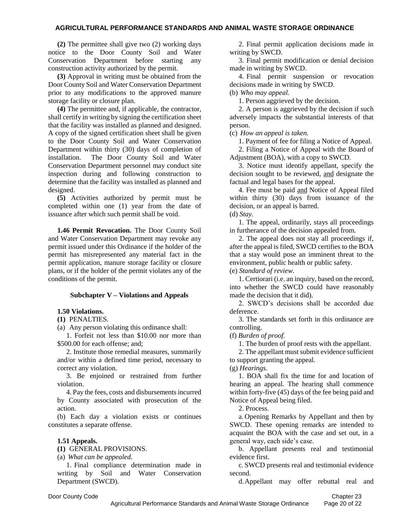**(2)** The permittee shall give two (2) working days notice to the Door County Soil and Water Conservation Department before starting any construction activity authorized by the permit.

**(3)** Approval in writing must be obtained from the Door County Soil and Water Conservation Department prior to any modifications to the approved manure storage facility or closure plan.

**(4)** The permittee and, if applicable, the contractor, shall certify in writing by signing the certification sheet that the facility was installed as planned and designed. A copy of the signed certification sheet shall be given to the Door County Soil and Water Conservation Department within thirty (30) days of completion of installation. The Door County Soil and Water Conservation Department personnel may conduct site inspection during and following construction to determine that the facility was installed as planned and designed.

**(5)** Activities authorized by permit must be completed within one (1) year from the date of issuance after which such permit shall be void.

**1.46 Permit Revocation.** The Door County Soil and Water Conservation Department may revoke any permit issued under this Ordinance if the holder of the permit has misrepresented any material fact in the permit application, manure storage facility or closure plans, or if the holder of the permit violates any of the conditions of the permit.

### **Subchapter V – Violations and Appeals**

### **1.50 Violations.**

**(1)** PENALTIES.

(a) Any person violating this ordinance shall:

1. Forfeit not less than \$10.00 nor more than \$500.00 for each offense; and:

2. Institute those remedial measures, summarily and/or within a defined time period, necessary to correct any violation.

3. Be enjoined or restrained from further violation.

4. Pay the fees, costs and disbursements incurred by County associated with prosecution of the action.

(b) Each day a violation exists or continues constitutes a separate offense.

### **1.51 Appeals.**

**(1)** GENERAL PROVISIONS.

(a) *What can be appealed.*

1. Final compliance determination made in writing by Soil and Water Conservation Department (SWCD).

2. Final permit application decisions made in writing by SWCD.

3. Final permit modification or denial decision made in writing by SWCD.

4. Final permit suspension or revocation decisions made in writing by SWCD.

(b) *Who may appeal.*

1. Person aggrieved by the decision.

2. A person is aggrieved by the decision if such adversely impacts the substantial interests of that person.

(c) *How an appeal is taken.*

1. Payment of fee for filing a Notice of Appeal.

2. Filing a Notice of Appeal with the Board of Adjustment (BOA), with a copy to SWCD.

3. Notice must identify appellant, specify the decision sought to be reviewed, and designate the factual and legal bases for the appeal.

4. Fee must be paid and Notice of Appeal filed within thirty (30) days from issuance of the decision, or an appeal is barred.

(d) *Stay.*

1. The appeal, ordinarily, stays all proceedings in furtherance of the decision appealed from.

2. The appeal does not stay all proceedings if, after the appeal is filed, SWCD certifies to the BOA that a stay would pose an imminent threat to the environment, public health or public safety.

(e) *Standard of review.*

1. Certiorari (i.e. an inquiry, based on the record, into whether the SWCD could have reasonably made the decision that it did).

2. SWCD's decisions shall be accorded due deference.

3. The standards set forth in this ordinance are controlling.

(f) *Burden of proof.*

1. The burden of proof rests with the appellant.

2. The appellant must submit evidence sufficient to support granting the appeal.

### (g) *Hearings.*

1. BOA shall fix the time for and location of hearing an appeal. The hearing shall commence within forty-five (45) days of the fee being paid and Notice of Appeal being filed.

2. Process.

a. Opening Remarks by Appellant and then by SWCD. These opening remarks are intended to acquaint the BOA with the case and set out, in a general way, each side's case.

b. Appellant presents real and testimonial evidence first.

c. SWCD presents real and testimonial evidence second.

d.Appellant may offer rebuttal real and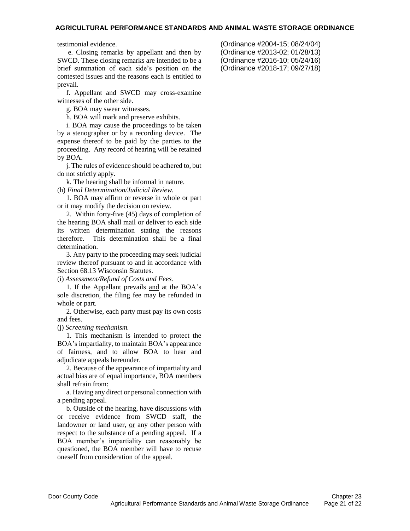testimonial evidence.

e. Closing remarks by appellant and then by SWCD. These closing remarks are intended to be a brief summation of each side's position on the contested issues and the reasons each is entitled to prevail.

f. Appellant and SWCD may cross-examine witnesses of the other side.

g. BOA may swear witnesses.

h. BOA will mark and preserve exhibits.

i. BOA may cause the proceedings to be taken by a stenographer or by a recording device. The expense thereof to be paid by the parties to the proceeding. Any record of hearing will be retained by BOA.

j. The rules of evidence should be adhered to, but do not strictly apply.

k. The hearing shall be informal in nature.

(h) *Final Determination/Judicial Review.* 

1. BOA may affirm or reverse in whole or part or it may modify the decision on review.

2. Within forty-five (45) days of completion of the hearing BOA shall mail or deliver to each side its written determination stating the reasons therefore. This determination shall be a final determination.

3. Any party to the proceeding may seek judicial review thereof pursuant to and in accordance with Section 68.13 Wisconsin Statutes.

(i) *Assessment/Refund of Costs and Fees.*

1. If the Appellant prevails and at the BOA's sole discretion, the filing fee may be refunded in whole or part.

2. Otherwise, each party must pay its own costs and fees.

(j) *Screening mechanism.*

1. This mechanism is intended to protect the BOA's impartiality, to maintain BOA's appearance of fairness, and to allow BOA to hear and adjudicate appeals hereunder.

2. Because of the appearance of impartiality and actual bias are of equal importance, BOA members shall refrain from:

a. Having any direct or personal connection with a pending appeal.

b. Outside of the hearing, have discussions with or receive evidence from SWCD staff, the landowner or land user, or any other person with respect to the substance of a pending appeal. If a BOA member's impartiality can reasonably be questioned, the BOA member will have to recuse oneself from consideration of the appeal.

(Ordinance #2004-15; 08/24/04) (Ordinance #2013-02; 01/28/13) (Ordinance #2016-10; 05/24/16) (Ordinance #2018-17; 09/27/18)